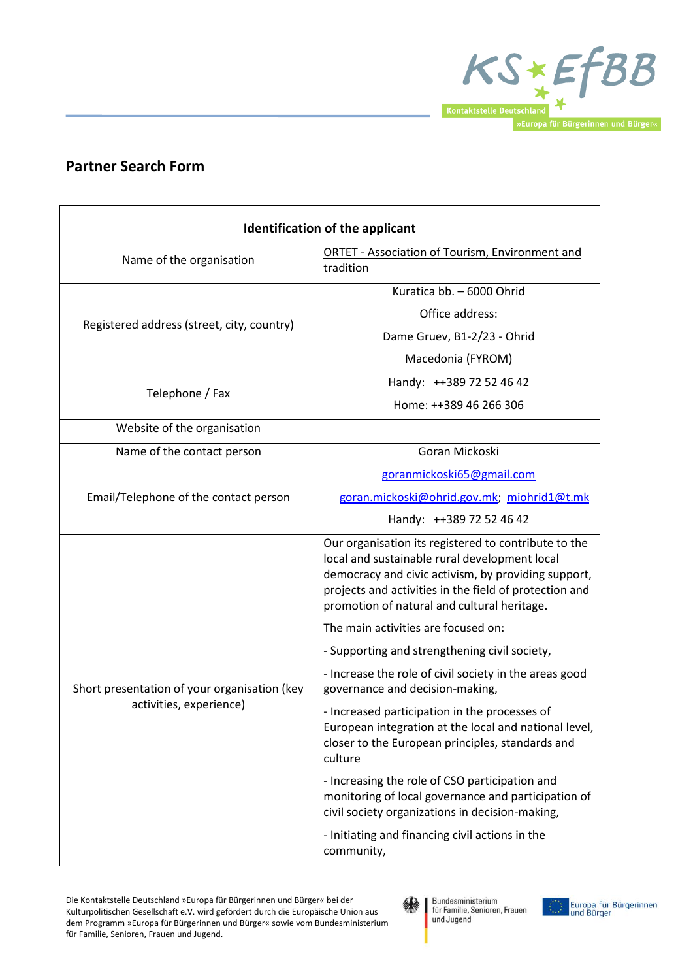

## **Partner Search Form**

| <b>Identification of the applicant</b>                                  |                                                                                                                                                                                                                                                                       |
|-------------------------------------------------------------------------|-----------------------------------------------------------------------------------------------------------------------------------------------------------------------------------------------------------------------------------------------------------------------|
| Name of the organisation                                                | <b>ORTET - Association of Tourism, Environment and</b><br>tradition                                                                                                                                                                                                   |
| Registered address (street, city, country)                              | Kuratica bb. - 6000 Ohrid                                                                                                                                                                                                                                             |
|                                                                         | Office address:                                                                                                                                                                                                                                                       |
|                                                                         | Dame Gruev, B1-2/23 - Ohrid                                                                                                                                                                                                                                           |
|                                                                         | Macedonia (FYROM)                                                                                                                                                                                                                                                     |
| Telephone / Fax                                                         | Handy: ++389 72 52 46 42                                                                                                                                                                                                                                              |
|                                                                         | Home: ++389 46 266 306                                                                                                                                                                                                                                                |
| Website of the organisation                                             |                                                                                                                                                                                                                                                                       |
| Name of the contact person                                              | Goran Mickoski                                                                                                                                                                                                                                                        |
| Email/Telephone of the contact person                                   | goranmickoski65@gmail.com                                                                                                                                                                                                                                             |
|                                                                         | goran.mickoski@ohrid.gov.mk; miohrid1@t.mk                                                                                                                                                                                                                            |
|                                                                         | Handy: ++389 72 52 46 42                                                                                                                                                                                                                                              |
| Short presentation of your organisation (key<br>activities, experience) | Our organisation its registered to contribute to the<br>local and sustainable rural development local<br>democracy and civic activism, by providing support,<br>projects and activities in the field of protection and<br>promotion of natural and cultural heritage. |
|                                                                         | The main activities are focused on:                                                                                                                                                                                                                                   |
|                                                                         | - Supporting and strengthening civil society,                                                                                                                                                                                                                         |
|                                                                         | - Increase the role of civil society in the areas good<br>governance and decision-making,                                                                                                                                                                             |
|                                                                         | - Increased participation in the processes of<br>European integration at the local and national level,<br>closer to the European principles, standards and<br>culture                                                                                                 |
|                                                                         | - Increasing the role of CSO participation and<br>monitoring of local governance and participation of<br>civil society organizations in decision-making,                                                                                                              |
|                                                                         | - Initiating and financing civil actions in the<br>community,                                                                                                                                                                                                         |



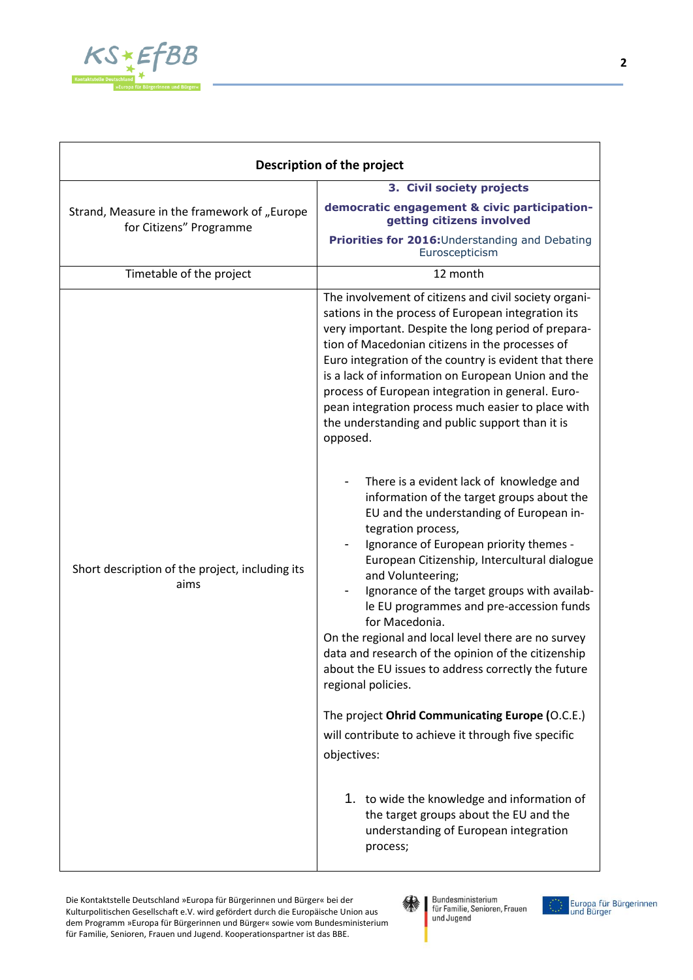

| Description of the project                                             |                                                                                                                                                                                                                                                                                                                                                                                                                                                                                                                                                                                                                                                                                                                                                                                                                                                                                                                                                                                                                                                                                                                                                                                                                                                                                                                       |
|------------------------------------------------------------------------|-----------------------------------------------------------------------------------------------------------------------------------------------------------------------------------------------------------------------------------------------------------------------------------------------------------------------------------------------------------------------------------------------------------------------------------------------------------------------------------------------------------------------------------------------------------------------------------------------------------------------------------------------------------------------------------------------------------------------------------------------------------------------------------------------------------------------------------------------------------------------------------------------------------------------------------------------------------------------------------------------------------------------------------------------------------------------------------------------------------------------------------------------------------------------------------------------------------------------------------------------------------------------------------------------------------------------|
|                                                                        | 3. Civil society projects                                                                                                                                                                                                                                                                                                                                                                                                                                                                                                                                                                                                                                                                                                                                                                                                                                                                                                                                                                                                                                                                                                                                                                                                                                                                                             |
| Strand, Measure in the framework of "Europe<br>for Citizens" Programme | democratic engagement & civic participation-<br>getting citizens involved                                                                                                                                                                                                                                                                                                                                                                                                                                                                                                                                                                                                                                                                                                                                                                                                                                                                                                                                                                                                                                                                                                                                                                                                                                             |
|                                                                        | Priorities for 2016: Understanding and Debating<br>Euroscepticism                                                                                                                                                                                                                                                                                                                                                                                                                                                                                                                                                                                                                                                                                                                                                                                                                                                                                                                                                                                                                                                                                                                                                                                                                                                     |
| Timetable of the project                                               | 12 month                                                                                                                                                                                                                                                                                                                                                                                                                                                                                                                                                                                                                                                                                                                                                                                                                                                                                                                                                                                                                                                                                                                                                                                                                                                                                                              |
| Short description of the project, including its<br>aims                | The involvement of citizens and civil society organi-<br>sations in the process of European integration its<br>very important. Despite the long period of prepara-<br>tion of Macedonian citizens in the processes of<br>Euro integration of the country is evident that there<br>is a lack of information on European Union and the<br>process of European integration in general. Euro-<br>pean integration process much easier to place with<br>the understanding and public support than it is<br>opposed.<br>There is a evident lack of knowledge and<br>information of the target groups about the<br>EU and the understanding of European in-<br>tegration process,<br>Ignorance of European priority themes -<br>European Citizenship, Intercultural dialogue<br>and Volunteering;<br>Ignorance of the target groups with availab-<br>le EU programmes and pre-accession funds<br>for Macedonia.<br>On the regional and local level there are no survey<br>data and research of the opinion of the citizenship<br>about the EU issues to address correctly the future<br>regional policies.<br>The project Ohrid Communicating Europe (O.C.E.)<br>will contribute to achieve it through five specific<br>objectives:<br>1. to wide the knowledge and information of<br>the target groups about the EU and the |
|                                                                        | understanding of European integration<br>process;                                                                                                                                                                                                                                                                                                                                                                                                                                                                                                                                                                                                                                                                                                                                                                                                                                                                                                                                                                                                                                                                                                                                                                                                                                                                     |